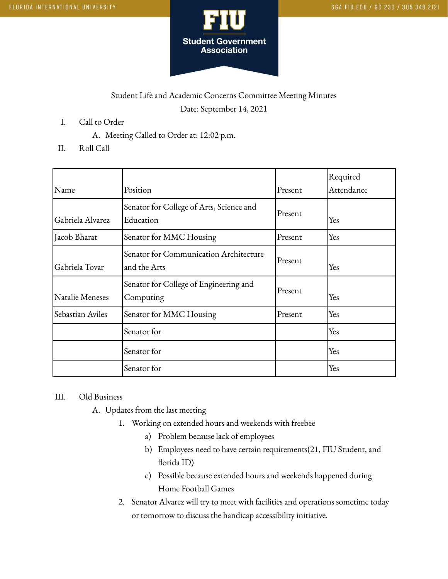

## Student Life and Academic Concerns Committee Meeting Minutes Date: September 14, 2021

- I. Call to Order
	- A. Meeting Called to Order at: 12:02 p.m.
- II. Roll Call

| Name             | Position                                               | Present | Required<br>Attendance |
|------------------|--------------------------------------------------------|---------|------------------------|
| Gabriela Alvarez | Senator for College of Arts, Science and<br>Education  | Present | Yes                    |
| Jacob Bharat     | Senator for MMC Housing                                | Present | Yes                    |
| Gabriela Tovar   | Senator for Communication Architecture<br>and the Arts | Present | Yes                    |
| Natalie Meneses  | Senator for College of Engineering and<br>Computing    | Present | Yes                    |
| Sebastian Aviles | Senator for MMC Housing                                | Present | Yes                    |
|                  | Senator for                                            |         | Yes                    |
|                  | Senator for                                            |         | Yes                    |
|                  | Senator for                                            |         | Yes                    |

## III. Old Business

- A. Updates from the last meeting
	- 1. Working on extended hours and weekends with freebee
		- a) Problem because lack of employees
		- b) Employees need to have certain requirements(21, FIU Student, and florida ID)
		- c) Possible because extended hours and weekends happened during Home Football Games
	- 2. Senator Alvarez will try to meet with facilities and operations sometime today or tomorrow to discuss the handicap accessibility initiative.